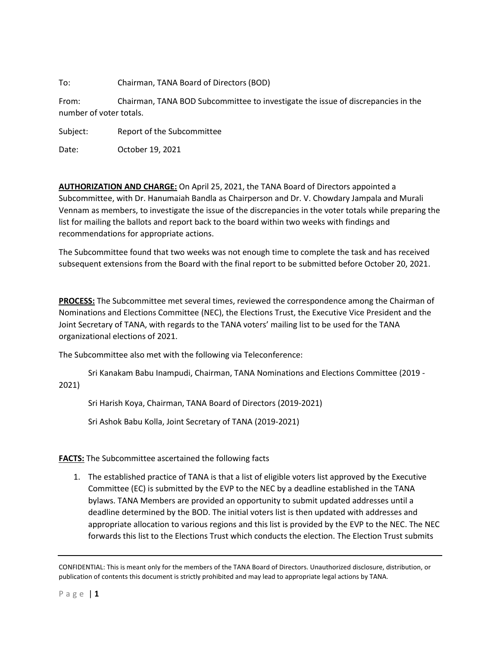To: Chairman, TANA Board of Directors (BOD)

From: Chairman, TANA BOD Subcommittee to investigate the issue of discrepancies in the number of voter totals.

Subject: Report of the Subcommittee

Date: October 19, 2021

**AUTHORIZATION AND CHARGE:** On April 25, 2021, the TANA Board of Directors appointed a Subcommittee, with Dr. Hanumaiah Bandla as Chairperson and Dr. V. Chowdary Jampala and Murali Vennam as members, to investigate the issue of the discrepancies in the voter totals while preparing the list for mailing the ballots and report back to the board within two weeks with findings and recommendations for appropriate actions.

The Subcommittee found that two weeks was not enough time to complete the task and has received subsequent extensions from the Board with the final report to be submitted before October 20, 2021.

**PROCESS:** The Subcommittee met several times, reviewed the correspondence among the Chairman of Nominations and Elections Committee (NEC), the Elections Trust, the Executive Vice President and the Joint Secretary of TANA, with regards to the TANA voters' mailing list to be used for the TANA organizational elections of 2021.

The Subcommittee also met with the following via Teleconference:

Sri Kanakam Babu Inampudi, Chairman, TANA Nominations and Elections Committee (2019 - 2021)

Sri Harish Koya, Chairman, TANA Board of Directors (2019-2021)

Sri Ashok Babu Kolla, Joint Secretary of TANA (2019-2021)

**FACTS:** The Subcommittee ascertained the following facts

1. The established practice of TANA is that a list of eligible voters list approved by the Executive Committee (EC) is submitted by the EVP to the NEC by a deadline established in the TANA bylaws. TANA Members are provided an opportunity to submit updated addresses until a deadline determined by the BOD. The initial voters list is then updated with addresses and appropriate allocation to various regions and this list is provided by the EVP to the NEC. The NEC forwards this list to the Elections Trust which conducts the election. The Election Trust submits

CONFIDENTIAL: This is meant only for the members of the TANA Board of Directors. Unauthorized disclosure, distribution, or publication of contents this document is strictly prohibited and may lead to appropriate legal actions by TANA.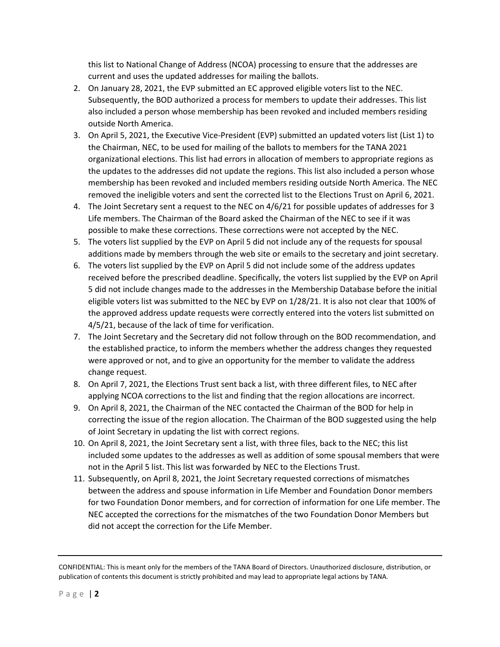this list to National Change of Address (NCOA) processing to ensure that the addresses are current and uses the updated addresses for mailing the ballots.

- 2. On January 28, 2021, the EVP submitted an EC approved eligible voters list to the NEC. Subsequently, the BOD authorized a process for members to update their addresses. This list also included a person whose membership has been revoked and included members residing outside North America.
- 3. On April 5, 2021, the Executive Vice-President (EVP) submitted an updated voters list (List 1) to the Chairman, NEC, to be used for mailing of the ballots to members for the TANA 2021 organizational elections. This list had errors in allocation of members to appropriate regions as the updates to the addresses did not update the regions. This list also included a person whose membership has been revoked and included members residing outside North America. The NEC removed the ineligible voters and sent the corrected list to the Elections Trust on April 6, 2021.
- 4. The Joint Secretary sent a request to the NEC on 4/6/21 for possible updates of addresses for 3 Life members. The Chairman of the Board asked the Chairman of the NEC to see if it was possible to make these corrections. These corrections were not accepted by the NEC.
- 5. The voters list supplied by the EVP on April 5 did not include any of the requests for spousal additions made by members through the web site or emails to the secretary and joint secretary.
- 6. The voters list supplied by the EVP on April 5 did not include some of the address updates received before the prescribed deadline. Specifically, the voters list supplied by the EVP on April 5 did not include changes made to the addresses in the Membership Database before the initial eligible voters list was submitted to the NEC by EVP on 1/28/21. It is also not clear that 100% of the approved address update requests were correctly entered into the voters list submitted on 4/5/21, because of the lack of time for verification.
- 7. The Joint Secretary and the Secretary did not follow through on the BOD recommendation, and the established practice, to inform the members whether the address changes they requested were approved or not, and to give an opportunity for the member to validate the address change request.
- 8. On April 7, 2021, the Elections Trust sent back a list, with three different files, to NEC after applying NCOA corrections to the list and finding that the region allocations are incorrect.
- 9. On April 8, 2021, the Chairman of the NEC contacted the Chairman of the BOD for help in correcting the issue of the region allocation. The Chairman of the BOD suggested using the help of Joint Secretary in updating the list with correct regions.
- 10. On April 8, 2021, the Joint Secretary sent a list, with three files, back to the NEC; this list included some updates to the addresses as well as addition of some spousal members that were not in the April 5 list. This list was forwarded by NEC to the Elections Trust.
- 11. Subsequently, on April 8, 2021, the Joint Secretary requested corrections of mismatches between the address and spouse information in Life Member and Foundation Donor members for two Foundation Donor members, and for correction of information for one Life member. The NEC accepted the corrections for the mismatches of the two Foundation Donor Members but did not accept the correction for the Life Member.

CONFIDENTIAL: This is meant only for the members of the TANA Board of Directors. Unauthorized disclosure, distribution, or publication of contents this document is strictly prohibited and may lead to appropriate legal actions by TANA.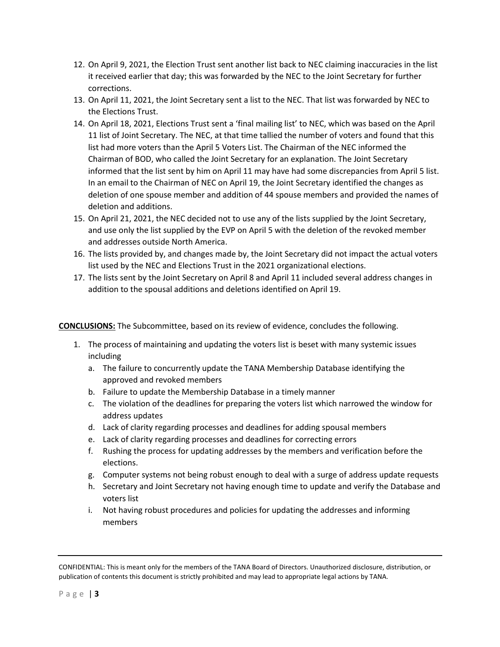- 12. On April 9, 2021, the Election Trust sent another list back to NEC claiming inaccuracies in the list it received earlier that day; this was forwarded by the NEC to the Joint Secretary for further corrections.
- 13. On April 11, 2021, the Joint Secretary sent a list to the NEC. That list was forwarded by NEC to the Elections Trust.
- 14. On April 18, 2021, Elections Trust sent a 'final mailing list' to NEC, which was based on the April 11 list of Joint Secretary. The NEC, at that time tallied the number of voters and found that this list had more voters than the April 5 Voters List. The Chairman of the NEC informed the Chairman of BOD, who called the Joint Secretary for an explanation. The Joint Secretary informed that the list sent by him on April 11 may have had some discrepancies from April 5 list. In an email to the Chairman of NEC on April 19, the Joint Secretary identified the changes as deletion of one spouse member and addition of 44 spouse members and provided the names of deletion and additions.
- 15. On April 21, 2021, the NEC decided not to use any of the lists supplied by the Joint Secretary, and use only the list supplied by the EVP on April 5 with the deletion of the revoked member and addresses outside North America.
- 16. The lists provided by, and changes made by, the Joint Secretary did not impact the actual voters list used by the NEC and Elections Trust in the 2021 organizational elections.
- 17. The lists sent by the Joint Secretary on April 8 and April 11 included several address changes in addition to the spousal additions and deletions identified on April 19.

**CONCLUSIONS:** The Subcommittee, based on its review of evidence, concludes the following.

- 1. The process of maintaining and updating the voters list is beset with many systemic issues including
	- a. The failure to concurrently update the TANA Membership Database identifying the approved and revoked members
	- b. Failure to update the Membership Database in a timely manner
	- c. The violation of the deadlines for preparing the voters list which narrowed the window for address updates
	- d. Lack of clarity regarding processes and deadlines for adding spousal members
	- e. Lack of clarity regarding processes and deadlines for correcting errors
	- f. Rushing the process for updating addresses by the members and verification before the elections.
	- g. Computer systems not being robust enough to deal with a surge of address update requests
	- h. Secretary and Joint Secretary not having enough time to update and verify the Database and voters list
	- i. Not having robust procedures and policies for updating the addresses and informing members

CONFIDENTIAL: This is meant only for the members of the TANA Board of Directors. Unauthorized disclosure, distribution, or publication of contents this document is strictly prohibited and may lead to appropriate legal actions by TANA.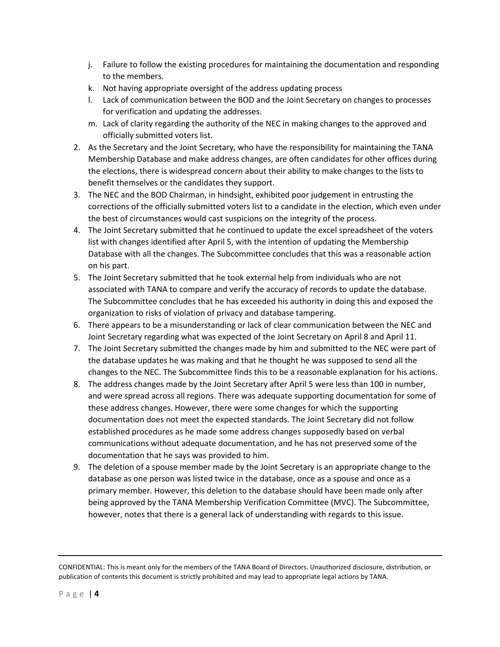- j. Failure to follow the existing procedures for maintaining the documentation and responding to the members.
- k. Not having appropriate oversight of the address updating process
- l. Lack of communication between the BOD and the Joint Secretary on changes to processes for verification and updating the addresses.
- m. Lack of clarity regarding the authority of the NEC in making changes to the approved and officially submitted voters list.
- 2. As the Secretary and the Joint Secretary, who have the responsibility for maintaining the TANA Membership Database and make address changes, are often candidates for other offices during the elections, there is widespread concern about their ability to make changes to the lists to benefit themselves or the candidates they support.
- 3. The NEC and the BOD Chairman, in hindsight, exhibited poor judgement in entrusting the corrections of the officially submitted voters list to a candidate in the election, which even under the best of circumstances would cast suspicions on the integrity of the process.
- 4. The Joint Secretary submitted that he continued to update the excel spreadsheet of the voters list with changes identified after April 5, with the intention of updating the Membership Database with all the changes. The Subcommittee concludes that this was a reasonable action on his part.
- 5. The Joint Secretary submitted that he took external help from individuals who are not associated with TANA to compare and verify the accuracy of records to update the database. The Subcommittee concludes that he has exceeded his authority in doing this and exposed the organization to risks of violation of privacy and database tampering.
- 6. There appears to be a misunderstanding or lack of clear communication between the NEC and Joint Secretary regarding what was expected of the Joint Secretary on April 8 and April 11.
- 7. The Joint Secretary submitted the changes made by him and submitted to the NEC were part of the database updates he was making and that he thought he was supposed to send all the changes to the NEC. The Subcommittee finds this to be a reasonable explanation for his actions.
- 8. The address changes made by the Joint Secretary after April 5 were less than 100 in number, and were spread across all regions. There was adequate supporting documentation for some of these address changes. However, there were some changes for which the supporting documentation does not meet the expected standards. The Joint Secretary did not follow established procedures as he made some address changes supposedly based on verbal communications without adequate documentation, and he has not preserved some of the documentation that he says was provided to him.
- 9. The deletion of a spouse member made by the Joint Secretary is an appropriate change to the database as one person was listed twice in the database, once as a spouse and once as a primary member. However, this deletion to the database should have been made only after being approved by the TANA Membership Verification Committee (MVC). The Subcommittee, however, notes that there is a general lack of understanding with regards to this issue.

CONFIDENTIAL: This is meant only for the members of the TANA Board of Directors. Unauthorized disclosure, distribution, or publication of contents this document is strictly prohibited and may lead to appropriate legal actions by TANA.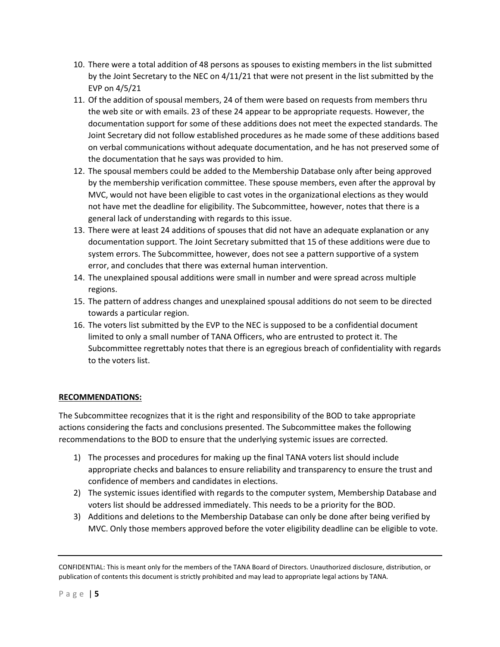- 10. There were a total addition of 48 persons as spouses to existing members in the list submitted by the Joint Secretary to the NEC on 4/11/21 that were not present in the list submitted by the EVP on 4/5/21
- 11. Of the addition of spousal members, 24 of them were based on requests from members thru the web site or with emails. 23 of these 24 appear to be appropriate requests. However, the documentation support for some of these additions does not meet the expected standards. The Joint Secretary did not follow established procedures as he made some of these additions based on verbal communications without adequate documentation, and he has not preserved some of the documentation that he says was provided to him.
- 12. The spousal members could be added to the Membership Database only after being approved by the membership verification committee. These spouse members, even after the approval by MVC, would not have been eligible to cast votes in the organizational elections as they would not have met the deadline for eligibility. The Subcommittee, however, notes that there is a general lack of understanding with regards to this issue.
- 13. There were at least 24 additions of spouses that did not have an adequate explanation or any documentation support. The Joint Secretary submitted that 15 of these additions were due to system errors. The Subcommittee, however, does not see a pattern supportive of a system error, and concludes that there was external human intervention.
- 14. The unexplained spousal additions were small in number and were spread across multiple regions.
- 15. The pattern of address changes and unexplained spousal additions do not seem to be directed towards a particular region.
- 16. The voters list submitted by the EVP to the NEC is supposed to be a confidential document limited to only a small number of TANA Officers, who are entrusted to protect it. The Subcommittee regrettably notes that there is an egregious breach of confidentiality with regards to the voters list.

## **RECOMMENDATIONS:**

The Subcommittee recognizes that it is the right and responsibility of the BOD to take appropriate actions considering the facts and conclusions presented. The Subcommittee makes the following recommendations to the BOD to ensure that the underlying systemic issues are corrected.

- 1) The processes and procedures for making up the final TANA voters list should include appropriate checks and balances to ensure reliability and transparency to ensure the trust and confidence of members and candidates in elections.
- 2) The systemic issues identified with regards to the computer system, Membership Database and voters list should be addressed immediately. This needs to be a priority for the BOD.
- 3) Additions and deletions to the Membership Database can only be done after being verified by MVC. Only those members approved before the voter eligibility deadline can be eligible to vote.

CONFIDENTIAL: This is meant only for the members of the TANA Board of Directors. Unauthorized disclosure, distribution, or publication of contents this document is strictly prohibited and may lead to appropriate legal actions by TANA.